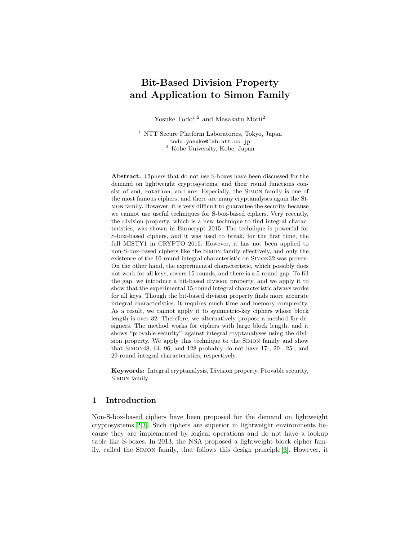# Bit-Based Division Property and Application to Simon Family

Yosuke Todo<sup>1,2</sup> and Masakatu Morii<sup>2</sup>

<sup>1</sup> NTT Secure Platform Laboratories, Tokyo, Japan todo.yosuke@lab.ntt.co.jp <sup>2</sup> Kobe University, Kobe, Japan

Abstract. Ciphers that do not use S-boxes have been discussed for the demand on lightweight cryptosystems, and their round functions consist of and, rotation, and xor. Especially, the Simon family is one of the most famous ciphers, and there are many cryptanalyses again the Simon family. However, it is very difficult to guarantee the security because we cannot use useful techniques for S-box-based ciphers. Very recently, the division property, which is a new technique to find integral characteristics, was shown in Eurocrypt 2015. The technique is powerful for S-box-based ciphers, and it was used to break, for the first time, the full MISTY1 in CRYPTO 2015. However, it has not been applied to non-S-box-based ciphers like the Simon family effectively, and only the existence of the 10-round integral characteristic on Simon32 was proven. On the other hand, the experimental characteristic, which possibly does not work for all keys, covers 15 rounds, and there is a 5-round gap. To fill the gap, we introduce a bit-based division property, and we apply it to show that the experimental 15-round integral characteristic always works for all keys. Though the bit-based division property finds more accurate integral characteristics, it requires much time and memory complexity. As a result, we cannot apply it to symmetric-key ciphers whose block length is over 32. Therefore, we alternatively propose a method for designers. The method works for ciphers with large block length, and it shows "provable security" against integral cryptanalyses using the division property. We apply this technique to the Simon family and show that Simon48, 64, 96, and 128 probably do not have 17-, 20-, 25-, and 29-round integral characteristics, respectively.

Keywords: Integral cryptanalysis, Division property, Provable security, Simon family

# 1 Introduction

Non-S-box-based ciphers have been proposed for the demand on lightweight cryptosystems [\[2,](#page-18-0)[3\]](#page-18-1). Such ciphers are superior in lightweight environments because they are implemented by logical operations and do not have a lookup table like S-boxes. In 2013, the NSA proposed a lightweight block cipher family, called the Simon family, that follows this design principle [\[3\]](#page-18-1). However, it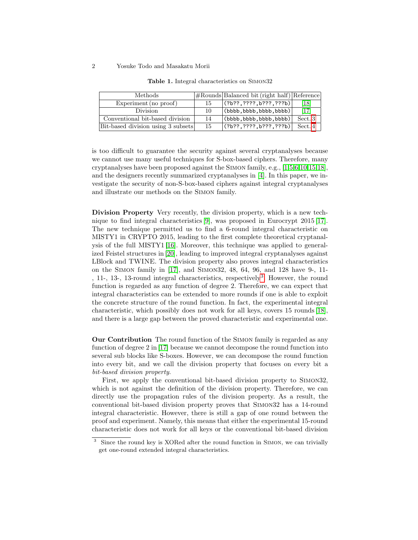#### 2 Yosuke Todo and Masakatu Morii

| <b>Methods</b>                     |    | #Rounds Balanced bit (right half) Reference |         |
|------------------------------------|----|---------------------------------------------|---------|
| Experiment (no proof)              | 15 | (?b??, ????, b???, ???b)                    | [18]    |
| <b>Division</b>                    | 10 | $\vert$ (bbbb, bbbb, bbbb, bbbb) $\vert$    | [17]    |
| Conventional bit-based division    | 14 | $\vert$ (bbbb, bbbb, bbbb, bbbb)            | Sect. 3 |
| Bit-based division using 3 subsets | 15 | (?b??, ????, b???, ???b)                    | Sect. 4 |

<span id="page-1-1"></span>Table 1. Integral characteristics on Simon32

is too difficult to guarantee the security against several cryptanalyses because we cannot use many useful techniques for S-box-based ciphers. Therefore, many cryptanalyses have been proposed against the Simon family, e.g., [\[1](#page-18-2)[,5,](#page-19-2)[6,](#page-19-3)[10,](#page-19-4)[15](#page-19-5)[,18\]](#page-19-0), and the designers recently summarized cryptanalyses in [\[4\]](#page-19-6). In this paper, we investigate the security of non-S-box-based ciphers against integral cryptanalyses and illustrate our methods on the Simon family.

Division Property Very recently, the division property, which is a new technique to find integral characteristics [\[9\]](#page-19-7), was proposed in Eurocrypt 2015 [\[17\]](#page-19-1). The new technique permitted us to find a 6-round integral characteristic on MISTY1 in CRYPTO 2015, leading to the first complete theoretical cryptanalysis of the full MISTY1 [\[16\]](#page-19-8). Moreover, this technique was applied to generalized Feistel structures in [\[20\]](#page-19-9), leading to improved integral cryptanalyses against LBlock and TWINE. The division property also proves integral characteristics on the Simon family in [\[17\]](#page-19-1), and Simon32, 48, 64, 96, and 128 have 9-, 11- , 11-, 1[3](#page-1-0)-, 13-round integral characteristics, respectively<sup>3</sup>. However, the round function is regarded as any function of degree 2. Therefore, we can expect that integral characteristics can be extended to more rounds if one is able to exploit the concrete structure of the round function. In fact, the experimental integral characteristic, which possibly does not work for all keys, covers 15 rounds [\[18\]](#page-19-0), and there is a large gap between the proved characteristic and experimental one.

Our Contribution The round function of the Simon family is regarded as any function of degree 2 in [\[17\]](#page-19-1) because we cannot decompose the round function into several sub blocks like S-boxes. However, we can decompose the round function into every bit, and we call the division property that focuses on every bit a bit-based division property.

First, we apply the conventional bit-based division property to Simon32, which is not against the definition of the division property. Therefore, we can directly use the propagation rules of the division property. As a result, the conventional bit-based division property proves that Simon32 has a 14-round integral characteristic. However, there is still a gap of one round between the proof and experiment. Namely, this means that either the experimental 15-round characteristic does not work for all keys or the conventional bit-based division

<span id="page-1-0"></span><sup>&</sup>lt;sup>3</sup> Since the round key is XORed after the round function in SIMON, we can trivially get one-round extended integral characteristics.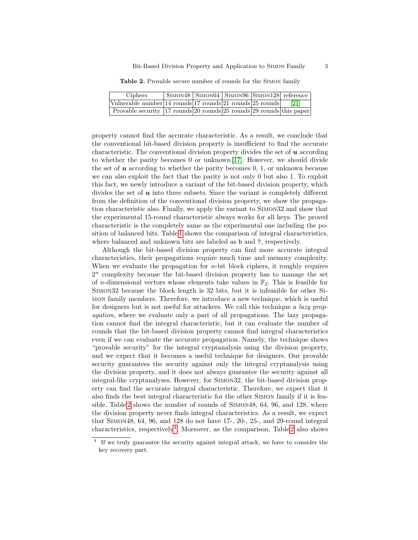<span id="page-2-0"></span>Table 2. Provable secure number of rounds for the Simon family

| Ciphers                                                                   |  | SIMON48 SIMON64 SIMON96 SIMON128 reference |      |
|---------------------------------------------------------------------------|--|--------------------------------------------|------|
| Vulnerable number 14 rounds 17 rounds 21 rounds 25 rounds                 |  |                                            | [21] |
| Provable security 17 rounds 20 rounds $25$ rounds $ 29$ rounds this paper |  |                                            |      |

property cannot find the accurate characteristic. As a result, we conclude that the conventional bit-based division property is insufficient to find the accurate characteristic. The conventional division property divides the set of  $u$  according to whether the parity becomes 0 or unknown [\[17\]](#page-19-1). However, we should divide the set of  $u$  according to whether the parity becomes  $0, 1$ , or unknown because we can also exploit the fact that the parity is not only 0 but also 1. To exploit this fact, we newly introduce a variant of the bit-based division property, which divides the set of  $\boldsymbol{u}$  into three subsets. Since the variant is completely different from the definition of the conventional division property, we show the propagation characteristic also. Finally, we apply the variant to Simon32 and show that the experimental 15-round characteristic always works for all keys. The proved characteristic is the completely same as the experimental one including the position of balanced bits. Table [1](#page-1-1) shows the comparison of integral characteristics, where balanced and unknown bits are labeled as **b** and **?**, respectively.

Although the bit-based division property can find more accurate integral characteristics, their propagations require much time and memory complexity. When we evaluate the propagation for  $n$ -bit block ciphers, it roughly requires  $2<sup>n</sup>$  complexity because the bit-based division property has to manage the set of *n*-dimensional vectors whose elements take values in  $\mathbb{F}_2$ . This is feasible for Simon32 because the block length is 32 bits, but it is infeasible for other Simon family members. Therefore, we introduce a new technique, which is useful for designers but is not useful for attackers. We call this technique a *lazy prop*agation, where we evaluate only a part of all propagations. The lazy propagation cannot find the integral characteristic, but it can evaluate the number of rounds that the bit-based division property cannot find integral characteristics even if we can evaluate the accurate propagation. Namely, the technique shows "provable security" for the integral cryptanalysis using the division property, and we expect that it becomes a useful technique for designers. Our provable security guarantees the security against only the integral cryptanalysis using the division property, and it does not always guarantee the security against all integral-like cryptanalyses. However, for Simon32, the bit-based division property can find the accurate integral characteristic. Therefore, we expect that it also finds the best integral characteristic for the other Simon family if it is feasible. Table [2](#page-2-0) shows the number of rounds of Simon48, 64, 96, and 128, where the division property never finds integral characteristics. As a result, we expect that Simon48, 64, 96, and 128 do not have 17-, 20-, 25-, and 29-round integral characteristics, respectively<sup>[4](#page-2-1)</sup>. Moreover, as the comparison, Table [2](#page-2-0) also shows

<span id="page-2-1"></span><sup>&</sup>lt;sup>4</sup> If we truly guarantee the security against integral attack, we have to consider the key recovery part.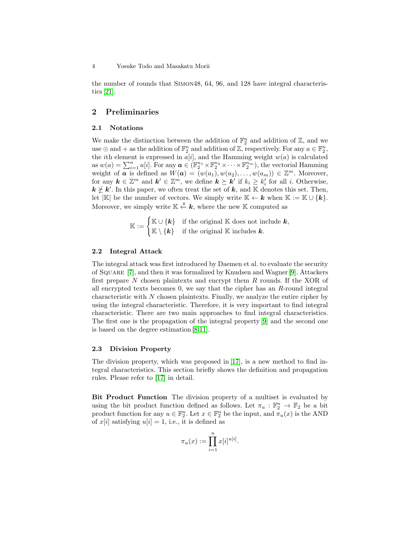the number of rounds that Simon48, 64, 96, and 128 have integral characteristics [\[21\]](#page-19-10).

# 2 Preliminaries

# 2.1 Notations

We make the distinction between the addition of  $\mathbb{F}_2^n$  and addition of  $\mathbb{Z}$ , and we use  $\oplus$  and  $+$  as the addition of  $\mathbb{F}_2^n$  and addition of  $\mathbb{Z}$ , respectively. For any  $a \in \mathbb{F}_2^n$ , the *i*th element is expressed in  $a[i]$ , and the Hamming weight  $w(a)$  is calculated as  $w(a) = \sum_{i=1}^n a[i]$ . For any  $a \in (\mathbb{F}_2^{n_1} \times \mathbb{F}_2^{n_2} \times \cdots \times \mathbb{F}_2^{n_m})$ , the vectorial Hamming weight of **a** is defined as  $W(\boldsymbol{a}) = (w(a_1), w(a_2), \ldots, w(a_m)) \in \mathbb{Z}^m$ . Moreover, for any  $k \in \mathbb{Z}^m$  and  $k' \in \mathbb{Z}^m$ , we define  $k \succeq k'$  if  $k_i \geq k'_i$  for all i. Otherwise,  $k \nleq k'$ . In this paper, we often treat the set of k, and K denotes this set. Then, let |K| be the number of vectors. We simply write  $\mathbb{K} \leftarrow k$  when  $\mathbb{K} := \mathbb{K} \cup \{k\}.$ Moreover, we simply write  $\mathbb{K} \stackrel{\mathbf{x}}{\leftarrow} \mathbf{k}$ , where the new K computed as

$$
\mathbb{K} := \begin{cases} \mathbb{K} \cup \{k\} & \text{if the original } \mathbb{K} \text{ does not include } k, \\ \mathbb{K} \setminus \{k\} & \text{if the original } \mathbb{K} \text{ includes } k. \end{cases}
$$

## 2.2 Integral Attack

The integral attack was first introduced by Daemen et al. to evaluate the security of Square [\[7\]](#page-19-11), and then it was formalized by Knudsen and Wagner [\[9\]](#page-19-7). Attackers first prepare  $N$  chosen plaintexts and encrypt them  $R$  rounds. If the XOR of all encrypted texts becomes 0, we say that the cipher has an R-round integral characteristic with  $N$  chosen plaintexts. Finally, we analyze the entire cipher by using the integral characteristic. Therefore, it is very important to find integral characteristic. There are two main approaches to find integral characteristics. The first one is the propagation of the integral property [\[9\]](#page-19-7) and the second one is based on the degree estimation [\[8](#page-19-12)[,11\]](#page-19-13).

## <span id="page-3-0"></span>2.3 Division Property

The division property, which was proposed in [\[17\]](#page-19-1), is a new method to find integral characteristics. This section briefly shows the definition and propagation rules. Please refer to [\[17\]](#page-19-1) in detail.

Bit Product Function The division property of a multiset is evaluated by using the bit product function defined as follows. Let  $\pi_u : \mathbb{F}_2^n \to \mathbb{F}_2$  be a bit product function for any  $u \in \mathbb{F}_2^n$ . Let  $x \in \mathbb{F}_2^n$  be the input, and  $\pi_u(x)$  is the AND of  $x[i]$  satisfying  $u[i] = 1$ , i.e., it is defined as

$$
\pi_u(x) := \prod_{i=1}^n x[i]^{u[i]}.
$$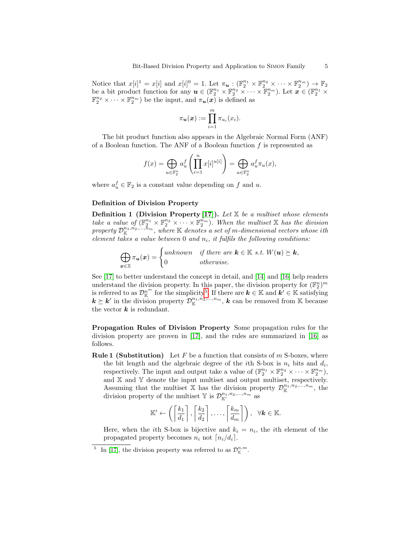Notice that  $x[i]^1 = x[i]$  and  $x[i]^0 = 1$ . Let  $\pi_u : (\mathbb{F}_2^{n_1} \times \mathbb{F}_2^{n_2} \times \cdots \times \mathbb{F}_2^{n_m}) \to \mathbb{F}_2$ be a bit product function for any  $u \in (\mathbb{F}_2^{n_1} \times \mathbb{F}_2^{n_2} \times \cdots \times \mathbb{F}_2^{n_m})$ . Let  $x \in (\mathbb{F}_2^{n_1} \times \mathbb{F}_2^{n_2} \times \cdots \times \mathbb{F}_2^{n_m})$  $\mathbb{F}_2^{n_2} \times \cdots \times \mathbb{F}_2^{n_m}$ ) be the input, and  $\pi_u(x)$  is defined as

$$
\pi_{\mathbf{u}}(\mathbf{x}) := \prod_{i=1}^m \pi_{u_i}(x_i).
$$

The bit product function also appears in the Algebraic Normal Form (ANF) of a Boolean function. The ANF of a Boolean function  $f$  is represented as

$$
f(x) = \bigoplus_{u \in \mathbb{F}_2^n} a_u^f \left( \prod_{i=1}^n x[i]^{u[i]} \right) = \bigoplus_{u \in \mathbb{F}_2^n} a_u^f \pi_u(x),
$$

where  $a_u^f \in \mathbb{F}_2$  is a constant value depending on f and u.

## Definition of Division Property

**Definition 1 (Division Property [\[17\]](#page-19-1)).** Let  $X$  be a multiset whose elements take a value of  $(\mathbb{F}_2^{n_1} \times \mathbb{F}_2^{n_2} \times \cdots \times \mathbb{F}_2^{n_m})$ . When the multiset X has the division property  $\mathcal{D}^{n_1,n_2,...,\tilde{n}_m}_{\mathbb{K}}$ , where  $\mathbb K$  denotes a set of m-dimensional vectors whose ith element takes a value between 0 and  $n_i$ , it fulfils the following conditions:

$$
\bigoplus_{\boldsymbol{x}\in\mathbb{X}}\pi_{\boldsymbol{u}}(\boldsymbol{x})=\begin{cases}\text{unknown} & \text{if there are } \boldsymbol{k}\in\mathbb{K} \text{ s.t. } W(\boldsymbol{u})\succeq \boldsymbol{k},\\ 0 & \text{otherwise.}\end{cases}
$$

See [\[17\]](#page-19-1) to better understand the concept in detail, and [\[14\]](#page-19-14) and [\[16\]](#page-19-8) help readers understand the division property. In this paper, the division property for  $(\mathbb{F}_2^n)^m$ is referred to as  $\mathcal{D}_{\mathbb{K}}^{n^m}$  for the simplicity<sup>[5](#page-4-0)</sup>. If there are  $k \in \mathbb{K}$  and  $k' \in \mathbb{K}$  satisfying  $k \succeq k'$  in the division property  $\mathcal{D}_{\mathbb{K}}^{n_1,n_2,...,n_m}$ , k can be removed from K because the vector  $k$  is redundant.

Propagation Rules of Division Property Some propagation rules for the division property are proven in [\[17\]](#page-19-1), and the rules are summarized in [\[16\]](#page-19-8) as follows.

**Rule 1 (Substitution)** Let F be a function that consists of  $m$  S-boxes, where the bit length and the algebraic degree of the *i*th S-box is  $n_i$  bits and  $d_i$ , respectively. The input and output take a value of  $(\mathbb{F}_2^{n_1} \times \mathbb{F}_2^{n_2} \times \cdots \times \mathbb{F}_2^{n_m})$ , and  $X$  and  $Y$  denote the input multiset and output multiset, respectively. Assuming that the multiset X has the division property  $\mathcal{D}^{n_1,n_2,\ldots,n_m}_{\mathbb{K}}$ , the division property of the multiset Y is  $\mathcal{D}^{n_1, n_2, ..., n_m}_{\mathbb{K}'}$  as

$$
\mathbb{K}' \leftarrow \left( \left\lceil \frac{k_1}{d_1} \right\rceil, \left\lceil \frac{k_2}{d_2} \right\rceil, \ldots, \left\lceil \frac{k_m}{d_m} \right\rceil \right), \ \ \forall \mathbf{k} \in \mathbb{K}.
$$

Here, when the *i*th S-box is bijective and  $k_i = n_i$ , the *i*th element of the propagated property becomes  $n_i$  not  $\lceil n_i/d_i \rceil$ .

<span id="page-4-0"></span><sup>&</sup>lt;sup>5</sup> In [\[17\]](#page-19-1), the division property was referred to as  $\mathcal{D}_{\mathbb{K}}^{n,m}$ .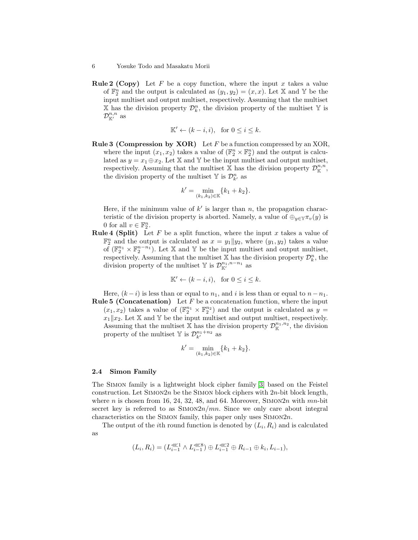**Rule 2 (Copy)** Let F be a copy function, where the input x takes a value of  $\mathbb{F}_2^n$  and the output is calculated as  $(y_1, y_2) = (x, x)$ . Let X and Y be the input multiset and output multiset, respectively. Assuming that the multiset X has the division property  $\mathcal{D}_k^n$ , the division property of the multiset Y is  $\mathcal{D}^{n,n}_{\mathbb{K}'}$  as

$$
\mathbb{K}' \leftarrow (k - i, i), \text{ for } 0 \le i \le k.
$$

**Rule 3 (Compression by XOR)** Let  $F$  be a function compressed by an XOR, where the input  $(x_1, x_2)$  takes a value of  $(\mathbb{F}_2^n \times \mathbb{F}_2^n)$  and the output is calculated as  $y = x_1 \oplus x_2$ . Let X and Y be the input multiset and output multiset, respectively. Assuming that the multiset X has the division property  $\mathcal{D}_{\mathbb{K}}^{n,n}$ , the division property of the multiset  $\mathbb{Y}$  is  $\mathcal{D}_{k}^{n}$  as

$$
k' = \min_{(k_1, k_2) \in \mathbb{K}} \{k_1 + k_2\}.
$$

Here, if the minimum value of  $k'$  is larger than n, the propagation characteristic of the division property is aborted. Namely, a value of  $\bigoplus_{y\in\mathbb{Y}} \pi_v(y)$  is 0 for all  $v \in \mathbb{F}_2^n$ .

**Rule 4 (Split)** Let F be a split function, where the input x takes a value of  $\mathbb{F}_2^n$  and the output is calculated as  $x = y_1||y_2$ , where  $(y_1, y_2)$  takes a value of  $(\mathbb{F}_2^{n_1} \times \mathbb{F}_2^{n-n_1})$ . Let X and Y be the input multiset and output multiset, respectively. Assuming that the multiset X has the division property  $\mathcal{D}_{k}^{n}$ , the division property of the multiset Y is  $\mathcal{D}_{\mathbb{K}'}^{n_1,n-n_1}$  as

$$
\mathbb{K}' \leftarrow (k - i, i), \text{ for } 0 \le i \le k.
$$

Here,  $(k - i)$  is less than or equal to  $n_1$ , and i is less than or equal to  $n - n_1$ . **Rule 5 (Concatenation)** Let  $F$  be a concatenation function, where the input

 $(x_1, x_2)$  takes a value of  $(\mathbb{F}_2^{n_1} \times \mathbb{F}_2^{n_2})$  and the output is calculated as  $y =$  $x_1||x_2$ . Let X and Y be the input multiset and output multiset, respectively. Assuming that the multiset X has the division property  $\mathcal{D}_{\mathbb{K}}^{n_1,n_2}$ , the division property of the multiset  $\mathbb{Y}$  is  $\mathcal{D}_{k'}^{n_1+n_2}$  as

$$
k' = \min_{(k_1, k_2) \in \mathbb{K}} \{k_1 + k_2\}.
$$

## 2.4 Simon Family

The Simon family is a lightweight block cipher family [\[3\]](#page-18-1) based on the Feistel construction. Let  $\text{SIMON2n}$  be the SIMON block ciphers with 2n-bit block length, where n is chosen from 16, 24, 32, 48, and 64. Moreover, SIMON2n with  $mn$ -bit secret key is referred to as  $\text{SIMON2n}/mn$ . Since we only care about integral characteristics on the SIMON family, this paper only uses  $SimON2n$ .

The output of the *i*th round function is denoted by  $(L_i, R_i)$  and is calculated as

$$
(L_i, R_i) = (L_{i-1}^{\lll 1} \wedge L_{i-1}^{\lll 8}) \oplus L_{i-1}^{\lll 2} \oplus R_{i-1} \oplus k_i, L_{i-1}),
$$

<sup>6</sup> Yosuke Todo and Masakatu Morii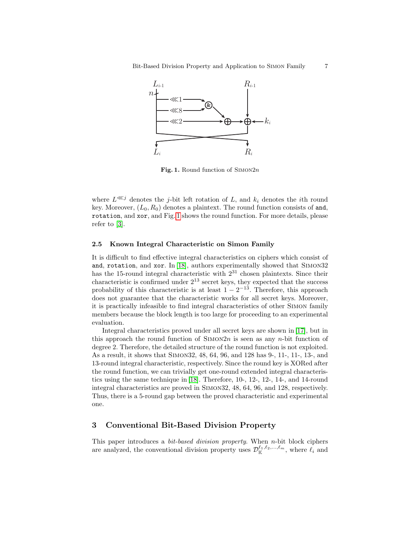

<span id="page-6-1"></span>Fig. 1. Round function of  $Simon2n$ 

where  $L^{\lll j}$  denotes the j-bit left rotation of L, and  $k_i$  denotes the *i*th round key. Moreover,  $(L_0, R_0)$  denotes a plaintext. The round function consists of and, rotation, and xor, and Fig. [1](#page-6-1) shows the round function. For more details, please refer to [\[3\]](#page-18-1).

## 2.5 Known Integral Characteristic on Simon Family

It is difficult to find effective integral characteristics on ciphers which consist of and, rotation, and xor. In [\[18\]](#page-19-0), authors experimentally showed that Simon32 has the 15-round integral characteristic with  $2^{31}$  chosen plaintexts. Since their characteristic is confirmed under  $2^{13}$  secret keys, they expected that the success probability of this characteristic is at least  $1 - 2^{-13}$ . Therefore, this approach does not guarantee that the characteristic works for all secret keys. Moreover, it is practically infeasible to find integral characteristics of other Simon family members because the block length is too large for proceeding to an experimental evaluation.

Integral characteristics proved under all secret keys are shown in [\[17\]](#page-19-1), but in this approach the round function of  $\text{SIMON2n}$  is seen as any n-bit function of degree 2. Therefore, the detailed structure of the round function is not exploited. As a result, it shows that Simon32, 48, 64, 96, and 128 has 9-, 11-, 11-, 13-, and 13-round integral characteristic, respectively. Since the round key is XORed after the round function, we can trivially get one-round extended integral characteristics using the same technique in [\[18\]](#page-19-0). Therefore, 10-, 12-, 12-, 14-, and 14-round integral characteristics are proved in Simon32, 48, 64, 96, and 128, respectively. Thus, there is a 5-round gap between the proved characteristic and experimental one.

# <span id="page-6-0"></span>3 Conventional Bit-Based Division Property

This paper introduces a bit-based division property. When n-bit block ciphers are analyzed, the conventional division property uses  $\mathcal{D}_{\mathbb{K}}^{\ell_1,\ell_2,\ldots,\ell_m}$ , where  $\ell_i$  and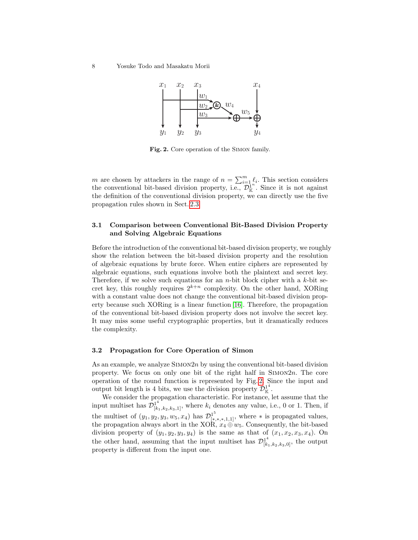8 Yosuke Todo and Masakatu Morii



<span id="page-7-0"></span>Fig. 2. Core operation of the Simon family.

m are chosen by attackers in the range of  $n = \sum_{i=1}^m \ell_i$ . This section considers the conventional bit-based division property, i.e.,  $\mathcal{D}_{\mathbb{K}}^{1,n}$ . Since it is not against the definition of the conventional division property, we can directly use the five propagation rules shown in Sect. [2.3.](#page-3-0)

# 3.1 Comparison between Conventional Bit-Based Division Property and Solving Algebraic Equations

Before the introduction of the conventional bit-based division property, we roughly show the relation between the bit-based division property and the resolution of algebraic equations by brute force. When entire ciphers are represented by algebraic equations, such equations involve both the plaintext and secret key. Therefore, if we solve such equations for an *n*-bit block cipher with a  $k$ -bit secret key, this roughly requires  $2^{k+n}$  complexity. On the other hand, XORing with a constant value does not change the conventional bit-based division property because such XORing is a linear function [\[16\]](#page-19-8). Therefore, the propagation of the conventional bit-based division property does not involve the secret key. It may miss some useful cryptographic properties, but it dramatically reduces the complexity.

## 3.2 Propagation for Core Operation of Simon

As an example, we analyze  $\text{SIMON2n}$  by using the conventional bit-based division property. We focus on only one bit of the right half in  $Simon2n$ . The core operation of the round function is represented by Fig. [2.](#page-7-0) Since the input and output bit length is 4 bits, we use the division property  $\mathcal{D}_{\mathbb{K}}^{1^4}$ .

We consider the propagation characteristic. For instance, let assume that the input multiset has  $\mathcal{D}_{[k_1,k_2,k_3,1]}^{1^4}$ , where  $k_i$  denotes any value, i.e., 0 or 1. Then, if the multiset of  $(y_1, y_2, y_3, w_5, x_4)$  has  $\mathcal{D}_{[*,*,*,1,1]}^{1^5}$ , where  $*$  is propagated values, the propagation always abort in the XOR,  $x_4 \oplus w_5$ . Consequently, the bit-based division property of  $(y_1, y_2, y_3, y_4)$  is the same as that of  $(x_1, x_2, x_3, x_4)$ . On the other hand, assuming that the input multiset has  $\mathcal{D}^{14}_{[k_1,k_2,k_3,0]}$ , the output property is different from the input one.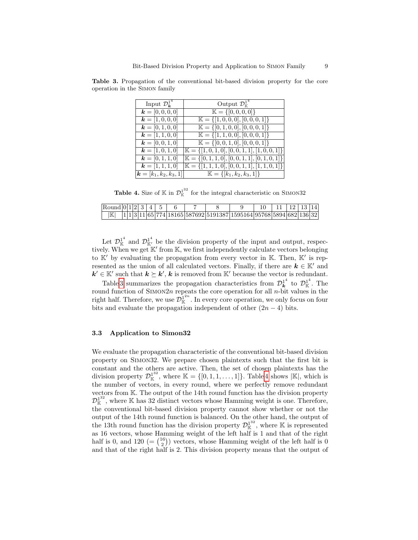<span id="page-8-0"></span>

| Output $\mathcal{D}_{\mathbb{K}}^{1^4}$                        |
|----------------------------------------------------------------|
| $\mathbb{K} = \{ [0, 0, 0, 0] \}$                              |
| $\mathbb{K} = \{ [1, 0, 0, 0], [0, 0, 0, 1] \}$                |
| $\mathbb{K} = \{ [0, 1, 0, 0], [0, 0, 0, 1] \}$                |
| $\mathbb{K} = \{ [1, 1, 0, 0], [0, 0, 0, 1] \}$                |
| $\mathbb{K} = \{ [0, 0, 1, 0], [0, 0, 0, 1] \}$                |
| $\mathbb{K} = \{ [1, 0, 1, 0], [0, 0, 1, 1], [1, 0, 0, 1] \}$  |
| $\mathbb{K} = \{ [0, 1, 1, 0], [0, 0, 1, 1], [0, 1, 0, 1] \}$  |
| $\mathbb{K} = \{ [1, 1, 1, 0], [0, 0, 1, 1], [1, 1, 0, 1] \}$  |
| $\mathbb{K} = \{ [k_1, k_2, k_3, 1] \}$<br>$k=[k_1,k_2,k_3,1]$ |
|                                                                |

Table 3. Propagation of the conventional bit-based division property for the core operation in the Simon family

<span id="page-8-1"></span>**Table 4.** Size of  $\mathbb{K}$  in  $\mathcal{D}_{\mathbb{K}}^{1^{32}}$  for the integral characteristic on SIMON32

| $\text{Round}[0 1 2 3]$ |  |  |  |  |                                                                        |  |  |  |
|-------------------------|--|--|--|--|------------------------------------------------------------------------|--|--|--|
| ΙK                      |  |  |  |  | $ 1 1 3 11 65 774 18165 587692 5191387 1595164 95768 5894 682 136 32 $ |  |  |  |

Let  $\mathcal{D}_{\mathbb{K}}^{1^4}$  and  $\mathcal{D}_{\mathbb{K}'}^{1^4}$  be the division property of the input and output, respectively. When we get  $K'$  from K, we first independently calculate vectors belonging to  $K'$  by evaluating the propagation from every vector in  $K$ . Then,  $K'$  is represented as the union of all calculated vectors. Finally, if there are  $k \in \mathbb{K}'$  and  $k' \in \mathbb{K}'$  such that  $k \succeq k'$ , k is removed from  $\mathbb{K}'$  because the vector is redundant.

Table [3](#page-8-0) summarizes the propagation characteristics from  $\mathcal{D}_{\mathbf{k}}^{1^4}$  to  $\mathcal{D}_{\mathbb{K}}^{1^4}$ . The round function of SIMON2n repeats the core operation for all  $n$ -bit values in the right half. Therefore, we use  $\mathcal{D}_{\mathbb{K}}^{1^{2n}}$ . In every core operation, we only focus on four bits and evaluate the propagation independent of other  $(2n - 4)$  bits.

## 3.3 Application to Simon32

We evaluate the propagation characteristic of the conventional bit-based division property on Simon32. We prepare chosen plaintexts such that the first bit is constant and the others are active. Then, the set of chosen plaintexts has the division property  $\mathcal{D}_{\mathbb{K}}^{1^{32}}$ , where  $\mathbb{K} = \{ [0, 1, 1, \ldots, 1] \}$ . Table [4](#page-8-1) shows  $|\mathbb{K}|$ , which is the number of vectors, in every round, where we perfectly remove redundant vectors from K. The output of the 14th round function has the division property  $\mathcal{D}_{\mathbb{K}}^{1^{32}}$ , where K has 32 distinct vectors whose Hamming weight is one. Therefore, the conventional bit-based division property cannot show whether or not the output of the 14th round function is balanced. On the other hand, the output of the 13th round function has the division property  $\mathcal{D}_{\mathbb{K}}^{1^{32}}$ , where K is represented as 16 vectors, whose Hamming weight of the left half is 1 and that of the right half is 0, and 120 (=  $\binom{16}{2}$ ) vectors, whose Hamming weight of the left half is 0 and that of the right half is 2. This division property means that the output of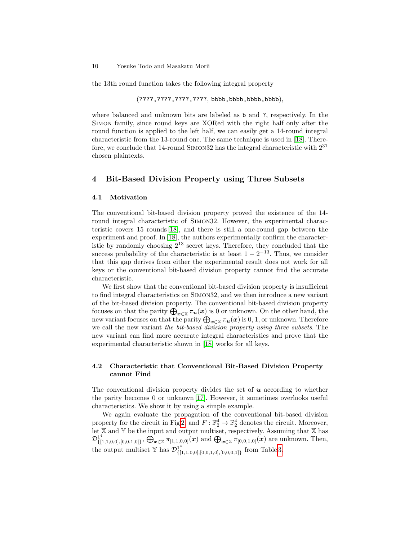the 13th round function takes the following integral property

(????,????,????,????, bbbb,bbbb,bbbb,bbbb),

where balanced and unknown bits are labeled as b and ?, respectively. In the Simon family, since round keys are XORed with the right half only after the round function is applied to the left half, we can easily get a 14-round integral characteristic from the 13-round one. The same technique is used in [\[18\]](#page-19-0). Therefore, we conclude that 14-round Simon32 has the integral characteristic with 2<sup>31</sup> chosen plaintexts.

## <span id="page-9-0"></span>4 Bit-Based Division Property using Three Subsets

## 4.1 Motivation

The conventional bit-based division property proved the existence of the 14 round integral characteristic of Simon32. However, the experimental characteristic covers 15 rounds [\[18\]](#page-19-0), and there is still a one-round gap between the experiment and proof. In [\[18\]](#page-19-0), the authors experimentally confirm the characteristic by randomly choosing 2<sup>13</sup> secret keys. Therefore, they concluded that the success probability of the characteristic is at least  $1 - 2^{-13}$ . Thus, we consider that this gap derives from either the experimental result does not work for all keys or the conventional bit-based division property cannot find the accurate characteristic.

We first show that the conventional bit-based division property is insufficient to find integral characteristics on Simon32, and we then introduce a new variant of the bit-based division property. The conventional bit-based division property focuses on that the parity  $\bigoplus_{x\in\mathbb{X}}\pi_u(x)$  is 0 or unknown. On the other hand, the new variant focuses on that the parity  $\bigoplus_{\bm x\in \mathbb{X}}\pi_{\bm u}(\bm x)$  is  $0,1,$  or unknown. Therefore we call the new variant the bit-based division property using three subsets. The new variant can find more accurate integral characteristics and prove that the experimental characteristic shown in [\[18\]](#page-19-0) works for all keys.

## 4.2 Characteristic that Conventional Bit-Based Division Property cannot Find

The conventional division property divides the set of  $\boldsymbol{u}$  according to whether the parity becomes 0 or unknown [\[17\]](#page-19-1). However, it sometimes overlooks useful characteristics. We show it by using a simple example.

We again evaluate the propagation of the conventional bit-based division property for the circuit in Fig [2,](#page-7-0) and  $F : \mathbb{F}_2^4 \to \mathbb{F}_2^4$  denotes the circuit. Moreover, let  $X$  and  $Y$  be the input and output multiset, respectively. Assuming that  $X$  has  ${\cal D}^{1^4}_{I\Gamma}$  $\{^{14}_{[1,1,0,0],[0,0,1,0]}\},\bigoplus_{\bm{x}\in\mathbb{X}}\pi_{[1,1,0,0]}(\bm{x})$  and  $\bigoplus_{\bm{x}\in\mathbb{X}}\pi_{[0,0,1,0]}(\bm{x})$  are unknown. Then, the output multiset Y has  $\mathcal{D}_{\text{f}}^{14}$  $\{[1,1,0,0], [0,0,1,0], [0,0,0,1]\}$  from Table [3.](#page-8-0)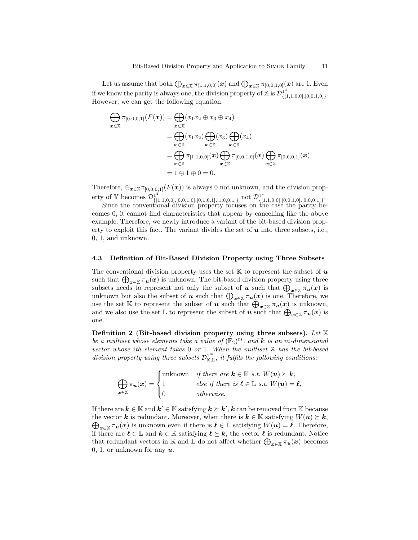Let us assume that both  $\bigoplus_{\bm x\in \mathbb{X}}\pi_{[1,1,0,0]}(\bm x)$  and  $\bigoplus_{\bm x\in \mathbb{X}}\pi_{[0,0,1,0]}(\bm x)$  are 1. Even if we know the parity is always one, the division property of X is  $\mathcal{D}_{\mathrm{f}\restriction}^{14}$  $\{[1,1,0,0],[0,0,1,0]\}$ . However, we can get the following equation.

$$
\bigoplus_{\mathbf{x}\in\mathbb{X}} \pi_{[0,0,0,1]}(F(\mathbf{x})) = \bigoplus_{\mathbf{x}\in\mathbb{X}} (x_1x_2 \oplus x_3 \oplus x_4)
$$
\n
$$
= \bigoplus_{\mathbf{x}\in\mathbb{X}} (x_1x_2) \bigoplus_{\mathbf{x}\in\mathbb{X}} (x_3) \bigoplus_{\mathbf{x}\in\mathbb{X}} (x_4)
$$
\n
$$
= \bigoplus_{\mathbf{x}\in\mathbb{X}} \pi_{[1,1,0,0]}(\mathbf{x}) \bigoplus_{\mathbf{x}\in\mathbb{X}} \pi_{[0,0,1,0]}(\mathbf{x}) \bigoplus_{\mathbf{x}\in\mathbb{X}} \pi_{[0,0,0,1]}(\mathbf{x})
$$
\n
$$
= 1 \oplus 1 \oplus 0 = 0.
$$

Therefore,  $\bigoplus_{\bm{x}\in\mathbb{X}}\pi_{[0,0,0,1]}(F(\bm{x}))$  is always 0 not unknown, and the division property of Y becomes  $\mathcal{D}_{\text{eff}}^{1^4}$  $_{\{[1,1,0,0],[0,0,1,0],[0,1,0,1],[1,0,0,1]\}}^{14}$  not  $\mathcal{D}_{\{[1,1,0,0],[0,1,0,1],[1,0,0,1]\}}^{14}$  $\{[1,1,0,0],[0,0,1,0],[0,0,0,1]\}$ .

Since the conventional division property focuses on the case the parity becomes 0, it cannot find characteristics that appear by cancelling like the above example. Therefore, we newly introduce a variant of the bit-based division property to exploit this fact. The variant divides the set of  $\boldsymbol{u}$  into three subsets, i.e., 0, 1, and unknown.

## 4.3 Definition of Bit-Based Division Property using Three Subsets

The conventional division property uses the set K to represent the subset of  $\boldsymbol{u}$ such that  $\bigoplus_{x\in\mathbb{X}}\pi_{\bm{u}}(x)$  is unknown. The bit-based division property using three subsets needs to represent not only the subset of  $u$  such that  $\bigoplus_{x\in\mathbb{X}}\pi_u(x)$  is unknown but also the subset of  $u$  such that  $\bigoplus_{x\in\mathbb{X}}\pi_u(x)$  is one. Therefore, we use the set K to represent the subset of u such that  $\bigoplus_{x\in\mathbb{X}} \pi_u(x)$  is unknown, and we also use the set  $\mathbb L$  to represent the subset of **u** such that  $\bigoplus_{x\in\mathbb X}\pi_u(x)$  is one.

Definition 2 (Bit-based division property using three subsets). Let  $X$ be a multiset whose elements take a value of  $(\mathbb{F}_2)^m$ , and **k** is an m-dimensional vector whose ith element takes 0 or 1. When the multiset X has the bit-based division property using three subsets  $\mathcal{D}^{1^m}_{\mathbb{K}, \mathbb{L}}$ , it fulfils the following conditions:

$$
\bigoplus_{\mathbf{x}\in\mathbb{X}}\pi_{\mathbf{u}}(\mathbf{x}) = \begin{cases}\text{unknown} & \text{if there are } \mathbf{k}\in\mathbb{K} \text{ s.t. } W(\mathbf{u}) \succeq \mathbf{k},\\ 1 & \text{else if there is } \mathbf{\ell}\in\mathbb{L} \text{ s.t. } W(\mathbf{u}) = \mathbf{\ell},\\ 0 & \text{otherwise.}\end{cases}
$$

 $\mathbf{a}$ 

If there are  $k \in \mathbb{K}$  and  $k' \in \mathbb{K}$  satisfying  $k \succeq k'$ ,  $k$  can be removed from  $\mathbb{K}$  because the vector **k** is redundant. Moreover, when there is  $k \in \mathbb{K}$  satisfying  $W(u) \succeq k$ ,  $\bigoplus_{x\in\mathbb{X}}\pi_{\bm{u}}(x)$  is unknown even if there is  $\ell\in\mathbb{L}$  satisfying  $W(\bm{u})=\ell$ . Therefore, if there are  $\ell \in \mathbb{L}$  and  $k \in \mathbb{K}$  satisfying  $\ell \succeq k$ , the vector  $\ell$  is redundant. Notice that redundant vectors in  $\mathbb K$  and  $\mathbb L$  do not affect whether  $\bigoplus_{\bm x\in\mathbb X}\pi_{\bm u}(\bm x)$  becomes 0, 1, or unknown for any  $u$ .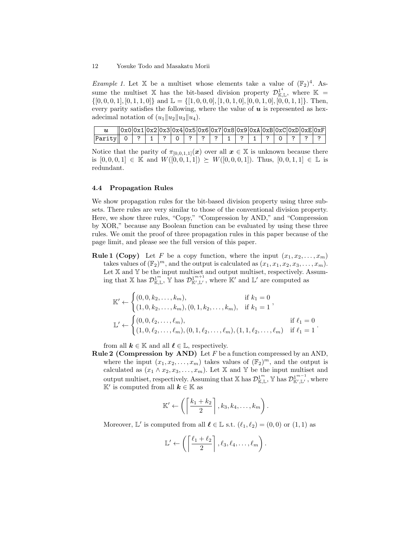*Example 1.* Let X be a multiset whose elements take a value of  $(\mathbb{F}_2)^4$ . Assume the multiset X has the bit-based division property  $\mathcal{D}_{\mathbb{K},\mathbb{L}}^{1^4}$ , where  $\mathbb{K}$  =  $\{[0, 0, 0, 1], [0, 1, 1, 0]\}$  and  $\mathbb{L} = \{[1, 0, 0, 0], [1, 0, 1, 0], [0, 0, 1, 0], [0, 0, 1, 1]\}.$  Then, every parity satisfies the following, where the value of  $u$  is represented as hexadecimal notation of  $(u_1||u_2||u_3||u_4)$ .

|                                                                            | $ 0x0 0x1 0x2 0x3 0x4 0x5 0x6 0x7 0x8 0x9 0x4 0x8 0xC 0xD 0xE 0xF $ |  |  |  |  |  |  |  |  |
|----------------------------------------------------------------------------|---------------------------------------------------------------------|--|--|--|--|--|--|--|--|
| Parity   0   ?   1   ?   0   ?   ?   ?   ?   1   ?   1   ?   0   ?   ?   ? |                                                                     |  |  |  |  |  |  |  |  |

Notice that the parity of  $\pi_{[0,0,1,1]}(x)$  over all  $x \in \mathbb{X}$  is unknown because there is  $[0, 0, 0, 1] \in \mathbb{K}$  and  $W([0, 0, 1, 1]) \succeq W([0, 0, 0, 1])$ . Thus,  $[0, 0, 1, 1] \in \mathbb{L}$  is redundant.

## <span id="page-11-0"></span>4.4 Propagation Rules

We show propagation rules for the bit-based division property using three subsets. There rules are very similar to those of the conventional division property. Here, we show three rules, "Copy," "Compression by AND," and "Compression by XOR," because any Boolean function can be evaluated by using these three rules. We omit the proof of three propagation rules in this paper because of the page limit, and please see the full version of this paper.

**Rule 1 (Copy)** Let F be a copy function, where the input  $(x_1, x_2, \ldots, x_m)$ takes values of  $(\mathbb{F}_2)^m$ , and the output is calculated as  $(x_1, x_1, x_2, x_3, \ldots, x_m)$ . Let X and Y be the input multiset and output multiset, respectively. Assuming that X has  $\mathcal{D}_{\mathbb{K},\mathbb{L}}^{1^m}$ ,  $\mathbb{Y}$  has  $\mathcal{D}_{\mathbb{K}',\mathbb{L}'}^{1^{m+1}}$ , where  $\mathbb{K}'$  and  $\mathbb{L}'$  are computed as

$$
\mathbb{K}' \leftarrow \begin{cases} (0, 0, k_2, \dots, k_m), & \text{if } k_1 = 0 \\ (1, 0, k_2, \dots, k_m), (0, 1, k_2, \dots, k_m), & \text{if } k_1 = 1 \end{cases},
$$
\n
$$
\mathbb{L}' \leftarrow \begin{cases} (0, 0, \ell_2, \dots, \ell_m), & \text{if } \ell_1 = 0 \\ (1, 0, \ell_2, \dots, \ell_m), (0, 1, \ell_2, \dots, \ell_m), (1, 1, \ell_2, \dots, \ell_m) & \text{if } \ell_1 = 1 \end{cases}.
$$

from all  $k \in \mathbb{K}$  and all  $\ell \in \mathbb{L}$ , respectively.

**Rule 2 (Compression by AND)** Let  $F$  be a function compressed by an AND, where the input  $(x_1, x_2, \ldots, x_m)$  takes values of  $(\mathbb{F}_2)^m$ , and the output is calculated as  $(x_1 \wedge x_2, x_3, \ldots, x_m)$ . Let X and Y be the input multiset and output multiset, respectively. Assuming that  $\mathbb{X}$  has  $\mathcal{D}^{1^m}_{\mathbb{K}, \mathbb{L}}$ ,  $\mathbb{Y}$  has  $\mathcal{D}^{1^{m-1}}_{\mathbb{K}', \mathbb{L}'}$ , where K' is computed from all  $k \in \mathbb{K}$  as

$$
\mathbb{K}' \leftarrow \left( \left\lceil \frac{k_1 + k_2}{2} \right\rceil, k_3, k_4, \ldots, k_m \right).
$$

Moreover,  $\mathbb{L}'$  is computed from all  $\ell \in \mathbb{L}$  s.t.  $(\ell_1, \ell_2) = (0, 0)$  or  $(1, 1)$  as

$$
\mathbb{L}' \leftarrow \left( \left\lceil \frac{\ell_1 + \ell_2}{2} \right\rceil, \ell_3, \ell_4, \ldots, \ell_m \right).
$$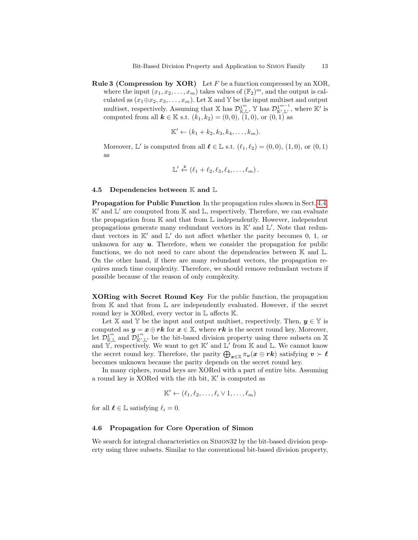**Rule 3 (Compression by XOR)** Let  $F$  be a function compressed by an XOR, where the input  $(x_1, x_2, \ldots, x_m)$  takes values of  $(\mathbb{F}_2)^m$ , and the output is calculated as  $(x_1 \oplus x_2, x_3, \ldots, x_m)$ . Let X and Y be the input multiset and output multiset, respectively. Assuming that  $\mathbb{X}$  has  $\mathcal{D}_{\mathbb{K},\mathbb{L}}^{1^m}$ ,  $\mathbb{Y}$  has  $\mathcal{D}_{\mathbb{K}',\mathbb{L}'}^{1^{m-1}}$ , where  $\mathbb{K}'$  is computed from all  $k \in \mathbb{K}$  s.t.  $(k_1, k_2) = (0, 0), (1, 0),$  or  $(0, 1)$  as

$$
\mathbb{K}' \leftarrow (k_1 + k_2, k_3, k_4, \ldots, k_m).
$$

Moreover,  $\mathbb{L}'$  is computed from all  $\ell \in \mathbb{L}$  s.t.  $(\ell_1, \ell_2) = (0, 0), (1, 0),$  or  $(0, 1)$ as

$$
\mathbb{L}' \stackrel{\mathbf{x}}{\leftarrow} (\ell_1 + \ell_2, \ell_3, \ell_4, \ldots, \ell_m).
$$

## 4.5 Dependencies between  $\mathbb K$  and  $\mathbb L$

Propagation for Public Function In the propagation rules shown in Sect. [4.4,](#page-11-0)  $K'$  and  $L'$  are computed from  $K$  and  $L$ , respectively. Therefore, we can evaluate the propagation from  $\mathbb K$  and that from  $\mathbb L$  independently. However, independent propagations generate many redundant vectors in  $K'$  and  $\mathbb{L}'$ . Note that redundant vectors in  $K'$  and  $L'$  do not affect whether the parity becomes 0, 1, or unknown for any  $u$ . Therefore, when we consider the propagation for public functions, we do not need to care about the dependencies between  $\mathbb K$  and  $\mathbb L$ . On the other hand, if there are many redundant vectors, the propagation requires much time complexity. Therefore, we should remove redundant vectors if possible because of the reason of only complexity.

XORing with Secret Round Key For the public function, the propagation from  $\mathbb K$  and that from  $\mathbb L$  are independently evaluated. However, if the secret round key is XORed, every vector in  $\mathbb L$  affects  $\mathbb K$ .

Let X and Y be the input and output multiset, respectively. Then,  $y \in Y$  is computed as  $y = x \oplus rk$  for  $x \in \mathbb{X}$ , where rk is the secret round key. Moreover, let  $\mathcal{D}^{1^m}_{\mathbb{K},\mathbb{L}}$  and  $\mathcal{D}^{1^m}_{\mathbb{K}',\mathbb{L}'}$  be the bit-based division property using three subsets on X and  $\mathbb{Y}$ , respectively. We want to get  $\mathbb{K}'$  and  $\mathbb{L}'$  from  $\mathbb{K}$  and  $\mathbb{L}$ . We cannot know the secret round key. Therefore, the parity  $\bigoplus_{x\in\mathbb{X}}\pi_v(x\oplus rk)$  satisfying  $v \succ \ell$ becomes unknown because the parity depends on the secret round key.

In many ciphers, round keys are XORed with a part of entire bits. Assuming a round key is XORed with the *i*<sup>th</sup> bit,  $K'$  is computed as

$$
\mathbb{K}' \leftarrow (\ell_1, \ell_2, \dots, \ell_i \vee 1, \dots, \ell_m)
$$

for all  $\ell \in \mathbb{L}$  satisfying  $\ell_i = 0$ .

#### 4.6 Propagation for Core Operation of Simon

We search for integral characteristics on SIMON32 by the bit-based division property using three subsets. Similar to the conventional bit-based division property,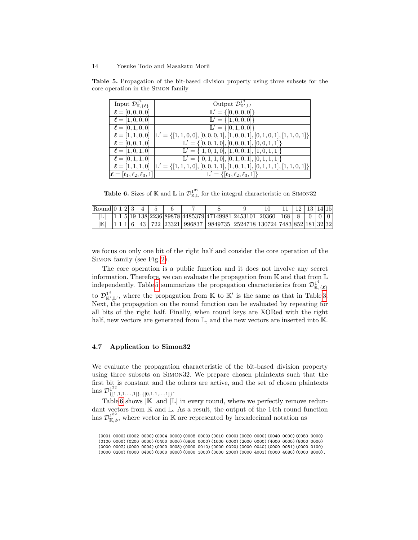$\ell = [\ell_1, \ell_2, \ell_3, 1]$ 

<span id="page-13-0"></span>

| Input $\mathcal{D}^{1^*}_{\mathbb{K}, {\{\ell\}}}$ | Output $\mathcal{D}^{1^*}_{\mathbb{K}',\mathbb{L}'}$                                       |
|----------------------------------------------------|--------------------------------------------------------------------------------------------|
| $\ell = [0, 0, 0, 0]$                              | $\mathbb{L}' = \{ [0, 0, 0, 0] \}$                                                         |
| $\ell = [1, 0, 0, 0]$                              | $\overline{\mathbb{L}' = \{ [1,0,0,0] \}}$                                                 |
| $\ell = [0, 1, 0, 0]$                              | $\overline{\mathbb{L}'} = \{ [0, 1, 0, 0] \}$                                              |
| $\ell = [1, 1, 0, 0]$                              | $\mathbb{L}' = \{ [1, 1, 0, 0], [0, 0, 0, 1], [1, 0, 0, 1], [0, 1, 0, 1], [1, 1, 0, 1] \}$ |
| $\ell = [0, 0, 1, 0]$                              | $\mathbb{L}' = \{ [0, 0, 1, 0], [0, 0, 0, 1], [0, 0, 1, 1] \}$                             |
| $\ell = [1, 0, 1, 0]$                              | $\mathbb{L}' = \{ [1, 0, 1, 0], [1, 0, 0, 1], [1, 0, 1, 1] \}$                             |
| $\ell = [0, 1, 1, 0]$                              | $\mathbb{L}' = \{ [0, 1, 1, 0], [0, 1, 0, 1], [0, 1, 1, 1] \}$                             |
| $\ell = [1, 1, 1, 0]$                              | $\mathbb{L}' = \{ [1, 1, 1, 0], [0, 0, 1, 1], [1, 0, 1, 1], [0, 1, 1, 1], [1, 1, 0, 1] \}$ |

Table 5. Propagation of the bit-based division property using three subsets for the core operation in the Simon family

<span id="page-13-1"></span>**Table 6.** Sizes of K and L in  $\mathcal{D}_{K,L}^{1^{32}}$  for the integral characteristic on SIMON32

 $\mathbb{L}' = \{[\ell_1, \ell_2, \ell_3, 1]\}$ 

| Round 0 1 2  3 |  |  |  |  |                                                                      |  |  | $12 \mid 13 \mid 14 \mid 15$ |  |
|----------------|--|--|--|--|----------------------------------------------------------------------|--|--|------------------------------|--|
|                |  |  |  |  | 1 1 5 19 138 2236 89878 4485379 47149981 2453101  20360   168        |  |  |                              |  |
| IK             |  |  |  |  | 43   722  23321  996837   9849735  2524718 130724 7483 852 181 32 32 |  |  |                              |  |

we focus on only one bit of the right half and consider the core operation of the Simon family (see Fig. [2\)](#page-7-0).

The core operation is a public function and it does not involve any secret information. Therefore, we can evaluate the propagation from K and that from L independently. Table [5](#page-13-0) summarizes the propagation characteristics from  $\mathcal{D}_{\mathbb{K},\{\ell\}}^{14}$ to  $\mathcal{D}_{\mathbb{K}',\mathbb{L}'}^{1^4}$ , where the propagation from K to K' is the same as that in Table [3.](#page-8-0) Next, the propagation on the round function can be evaluated by repeating for all bits of the right half. Finally, when round keys are XORed with the right half, new vectors are generated from  $\mathbb{L}$ , and the new vectors are inserted into K.

## 4.7 Application to Simon32

We evaluate the propagation characteristic of the bit-based division property using three subsets on Simon32. We prepare chosen plaintexts such that the first bit is constant and the others are active, and the set of chosen plaintexts has  $\mathcal{D}_{\text{f}1}^{1^{32}}$  $\{[1,1,1,...,1]\}, \{[0,1,1,...,1]\}$ .

Table [6](#page-13-1) shows  $|\mathbb{K}|$  and  $|\mathbb{L}|$  in every round, where we perfectly remove redundant vectors from  $K$  and  $L$ . As a result, the output of the 14th round function has  $\mathcal{D}_{\mathbb{K},\phi}^{1^{32}}$ , where vector in K are represented by hexadecimal notation as

(0001 0000)(0002 0000)(0004 0000)(0008 0000)(0010 0000)(0020 0000)(0040 0000)(0080 0000) (0100 0000)(0200 0000)(0400 0000)(0800 0000)(1000 0000)(2000 0000)(4000 0000)(8000 0000) (0000 0002)(0000 0004)(0000 0008)(0000 0010)(0000 0020)(0000 0040)(0000 0081)(0000 0100) (0000 0200)(0000 0400)(0000 0800)(0000 1000)(0000 2000)(0000 4001)(0000 4080)(0000 8000),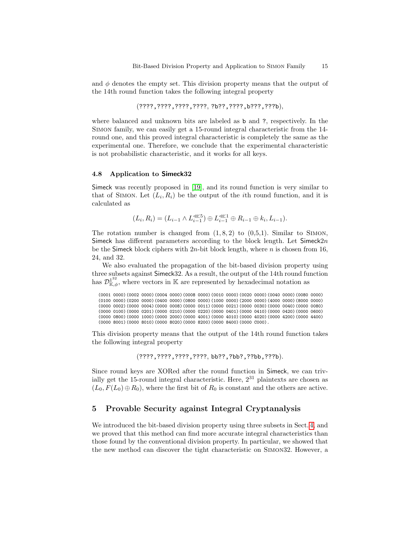and  $\phi$  denotes the empty set. This division property means that the output of the 14th round function takes the following integral property

(????,????,????,????, ?b??,????,b???,???b),

where balanced and unknown bits are labeled as b and ?, respectively. In the Simon family, we can easily get a 15-round integral characteristic from the 14 round one, and this proved integral characteristic is completely the same as the experimental one. Therefore, we conclude that the experimental characteristic is not probabilistic characteristic, and it works for all keys.

#### 4.8 Application to Simeck32

Simeck was recently proposed in [\[19\]](#page-19-15), and its round function is very similar to that of SIMON. Let  $(L_i, R_i)$  be the output of the *i*th round function, and it is calculated as

 $(L_i, R_i) = (L_{i-1} \wedge L_{i-1}^{\ll 5}) \oplus L_{i-1}^{\ll 1} \oplus R_{i-1} \oplus k_i, L_{i-1}).$ 

The rotation number is changed from  $(1, 8, 2)$  to  $(0, 5, 1)$ . Similar to SIMON, Simeck has different parameters according to the block length. Let  $Simec k2n$ be the Simeck block ciphers with  $2n$ -bit block length, where n is chosen from 16, 24, and 32.

We also evaluated the propagation of the bit-based division property using three subsets against Simeck32. As a result, the output of the 14th round function has  $\mathcal{D}_{\mathbb{K},\phi}^{1^{32}}$ , where vectors in K are represented by hexadecimal notation as

(0001 0000)(0002 0000)(0004 0000)(0008 0000)(0010 0000)(0020 0000)(0040 0000)(0080 0000) (0100 0000)(0200 0000)(0400 0000)(0800 0000)(1000 0000)(2000 0000)(4000 0000)(8000 0000) (0000 0002)(0000 0004)(0000 0008)(0000 0011)(0000 0021)(0000 0030)(0000 0040)(0000 0080) (0000 0100)(0000 0201)(0000 0210)(0000 0220)(0000 0401)(0000 0410)(0000 0420)(0000 0600) (0000 0800)(0000 1000)(0000 2000)(0000 4001)(0000 4010)(0000 4020)(0000 4200)(0000 4400) (0000 8001)(0000 8010)(0000 8020)(0000 8200)(0000 8400)(0000 C000).

This division property means that the output of the 14th round function takes the following integral property

(????,????,????,????, bb??,?bb?,??bb,???b).

Since round keys are XORed after the round function in Simeck, we can trivially get the 15-round integral characteristic. Here,  $2^{31}$  plaintexts are chosen as  $(L_0, F(L_0) \oplus R_0)$ , where the first bit of  $R_0$  is constant and the others are active.

# 5 Provable Security against Integral Cryptanalysis

We introduced the bit-based division property using three subsets in Sect. [4,](#page-9-0) and we proved that this method can find more accurate integral characteristics than those found by the conventional division property. In particular, we showed that the new method can discover the tight characteristic on Simon32. However, a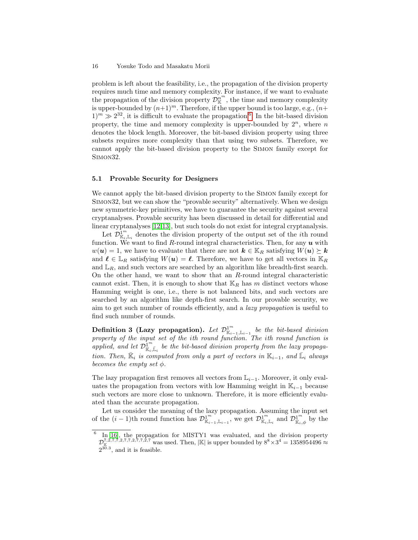#### 16 Yosuke Todo and Masakatu Morii

problem is left about the feasibility, i.e., the propagation of the division property requires much time and memory complexity. For instance, if we want to evaluate the propagation of the division property  $\mathcal{D}_{\mathbb{K}}^{n^m}$ , the time and memory complexity is upper-bounded by  $(n+1)^m$ . Therefore, if the upper bound is too large, e.g.,  $(n+1)^m$ .  $(1)^m \gg 2^{32}$ , it is difficult to evaluate the propagation <sup>[6](#page-15-0)</sup>. In the bit-based division property, the time and memory complexity is upper-bounded by  $2^n$ , where n denotes the block length. Moreover, the bit-based division property using three subsets requires more complexity than that using two subsets. Therefore, we cannot apply the bit-based division property to the Simon family except for Simon32.

## 5.1 Provable Security for Designers

We cannot apply the bit-based division property to the Simon family except for Simon32, but we can show the "provable security" alternatively. When we design new symmetric-key primitives, we have to guarantee the security against several cryptanalyses. Provable security has been discussed in detail for differential and linear cryptanalyses [\[12,](#page-19-16)[13\]](#page-19-17), but such tools do not exist for integral cryptanalysis.

Let  $\mathcal{D}_{\mathbb{K}_i,\mathbb{L}_i}^{\mathbb{L}^m}$  denotes the division property of the output set of the *i*th round function. We want to find R-round integral characteristics. Then, for any  $u$  with  $w(\mathbf{u}) = 1$ , we have to evaluate that there are not  $\mathbf{k} \in \mathbb{K}_R$  satisfying  $W(\mathbf{u}) \succeq \mathbf{k}$ and  $\ell \in \mathbb{L}_R$  satisfying  $W(u) = \ell$ . Therefore, we have to get all vectors in  $\mathbb{K}_R$ and  $\mathbb{L}_R$ , and such vectors are searched by an algorithm like breadth-first search. On the other hand, we want to show that an  $R$ -round integral characteristic cannot exist. Then, it is enough to show that  $\mathbb{K}_R$  has m distinct vectors whose Hamming weight is one, i.e., there is not balanced bits, and such vectors are searched by an algorithm like depth-first search. In our provable security, we aim to get such number of rounds efficiently, and a lazy propagation is useful to find such number of rounds.

Definition 3 (Lazy propagation). Let  $\mathcal{D}^{1^m}_{\mathbb{K}_{i-1},\mathbb{L}_{i-1}}$  be the bit-based division property of the input set of the ith round function. The ith round function is applied, and let  $\mathcal{D}^{1^m}_{\mathbb{R}_i,\mathbb{L}_i}$  be the bit-based division property from the lazy propagation. Then,  $\overline{\mathbb{K}}_i$  is computed from only a part of vectors in  $\mathbb{K}_{i-1}$ , and  $\overline{\mathbb{L}}_i$  always becomes the empty set  $\phi$ .

The lazy propagation first removes all vectors from  $\mathbb{L}_{i-1}$ . Moreover, it only evaluates the propagation from vectors with low Hamming weight in  $\mathbb{K}_{i-1}$  because such vectors are more close to unknown. Therefore, it is more efficiently evaluated than the accurate propagation.

Let us consider the meaning of the lazy propagation. Assuming the input set of the  $(i-1)$ th round function has  $\mathcal{D}_{\mathbb{K}_{i-1},\mathbb{L}_{i-1}}^{\mathbb{1}^m}$ , we get  $\mathcal{D}_{\mathbb{K}_{i},\mathbb{L}_{i}}^{\mathbb{1}^m}$  and  $\mathcal{D}_{\mathbb{K}_{i},\phi}^{\mathbb{1}^m}$  by the

<span id="page-15-0"></span><sup>6</sup> In [\[16\]](#page-19-8), the propagation for MISTY1 was evaluated, and the division property  $\mathcal{D}_{\mathbb{K}}^{7,2,7,7,2,7,7,2,7,7,2,7}$  was used. Then, |K| is upper bounded by  $8^8 \times 3^4 = 1358954496 \approx$  $2^{30.3}$ , and it is feasible.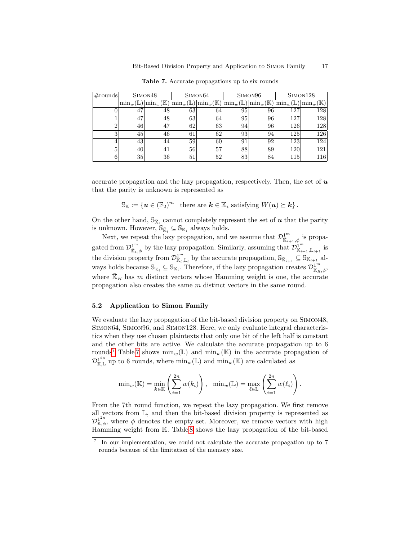| $\#\text{rounds}$ |                | SIMON <sub>48</sub>             |                      | SIMON <sub>64</sub>                 |             | SIMON <sub>96</sub>                 | SIMON <sub>128</sub>                         |                        |  |
|-------------------|----------------|---------------------------------|----------------------|-------------------------------------|-------------|-------------------------------------|----------------------------------------------|------------------------|--|
|                   | $\lim_{w}$ (L, | $\min_w(\overline{\mathbb{K}})$ | $\min_w(\mathbb{L})$ | $\left \min_{w}(\mathbb{K})\right $ | $\min_w(L)$ | $\left \min_{w}(\mathbb{K})\right $ | $\mathrm{N}\mathrm{min}_w(\bar{\mathbb{L}})$ | $\min_{w}(\mathbb{K})$ |  |
|                   | 47             | 48                              | 63                   | 64                                  | 95          | 96                                  | 127                                          | 128                    |  |
|                   | 47             | 48                              | 63                   | 64                                  | 95          | 96                                  | 127                                          | 128                    |  |
|                   | 46             | 47                              | 62                   | 63                                  | 94          | 96                                  | 126                                          | 128                    |  |
| 3                 | 45             | 46                              | 61                   | 62                                  | 93          | 94                                  | 125                                          | 126                    |  |
|                   | 43             | 44                              | 59                   | 60                                  | 91          | 92                                  | 123                                          | 124                    |  |
| 5                 | 40             | 41                              | 56                   | 57                                  | 88          | 89                                  | 120                                          | 121                    |  |
|                   | 35             | 36                              | 51                   | 52                                  | 83          | 84                                  | 115                                          | 116                    |  |

<span id="page-16-1"></span>Table 7. Accurate propagations up to six rounds

accurate propagation and the lazy propagation, respectively. Then, the set of  $\boldsymbol{u}$ that the parity is unknown is represented as

 $\mathbb{S}_{\mathbb{K}} := \{\mathbf{u} \in (\mathbb{F}_2)^m \mid \text{there are } \mathbf{k} \in \mathbb{K}_i \text{ satisfying } W(\mathbf{u}) \succeq \mathbf{k}\}.$ 

On the other hand,  $\mathbb{S}_{\bar{\mathbb{K}}_i}$  cannot completely represent the set of  $\boldsymbol{u}$  that the parity is unknown. However,  $\mathbb{S}_{\bar{\mathbb{K}}_i} \subseteq \mathbb{S}_{\mathbb{K}_i}$  always holds.

Next, we repeat the lazy propagation, and we assume that  $\mathcal{D}_{\overline{\mathbb{R}}_{i+1},\phi}^{1^m}$  is propagated from  $\mathcal{D}^{1^m}_{\mathbb{K}_i,\phi}$  by the lazy propagation. Similarly, assuming that  $\mathcal{D}^{1^m}_{\mathbb{K}_{i+1},\mathbb{L}_{i+1}}$  is the division property from  $\mathcal{D}_{\mathbb{K}_i,\mathbb{L}_i}^{1^m}$  by the accurate propagation,  $\mathbb{S}_{\bar{\mathbb{K}}_{i+1}} \subseteq \mathbb{S}_{\mathbb{K}_{i+1}}$  always holds because  $\mathbb{S}_{\bar{\mathbb{K}}_i} \subseteq \mathbb{S}_{\mathbb{K}_i}$ . Therefore, if the lazy propagation creates  $\mathcal{D}^{1^m}_{\bar{\mathbb{K}}_R,\phi}$ , where  $\bar{\mathbb{K}}_R$  has m distinct vectors whose Hamming weight is one, the accurate propagation also creates the same m distinct vectors in the same round.

## 5.2 Application to Simon Family

We evaluate the lazy propagation of the bit-based division property on Simon48, Simon64, Simon96, and Simon128. Here, we only evaluate integral characteristics when they use chosen plaintexts that only one bit of the left half is constant and the other bits are active. We calculate the accurate propagation up to 6 rounds<sup>[7](#page-16-0)</sup> Table [7](#page-16-1) shows  $\min_w(\mathbb{L})$  and  $\min_w(\mathbb{K})$  in the accurate propagation of  $\mathcal{D}^{1^{2n}}_{\mathbb{K},\mathbb{L}}$  up to 6 rounds, where  $\min_w(\mathbb{L})$  and  $\min_w(\mathbb{K})$  are calculated as

$$
\min_{w}(\mathbb{K}) = \min_{\mathbf{k} \in \mathbb{K}} \left( \sum_{i=1}^{2n} w(k_i) \right), \quad \min_{w}(\mathbb{L}) = \max_{\mathbf{\ell} \in \mathbb{L}} \left( \sum_{i=1}^{2n} w(\ell_i) \right).
$$

From the 7th round function, we repeat the lazy propagation. We first remove all vectors from L, and then the bit-based division property is represented as  $\mathcal{D}_{\mathbb{K},\phi}^{1^{2n}}$ , where  $\phi$  denotes the empty set. Moreover, we remove vectors with high Hamming weight from K. Table [8](#page-17-0) shows the lazy propagation of the bit-based

<span id="page-16-0"></span><sup>7</sup> In our implementation, we could not calculate the accurate propagation up to 7 rounds because of the limitation of the memory size.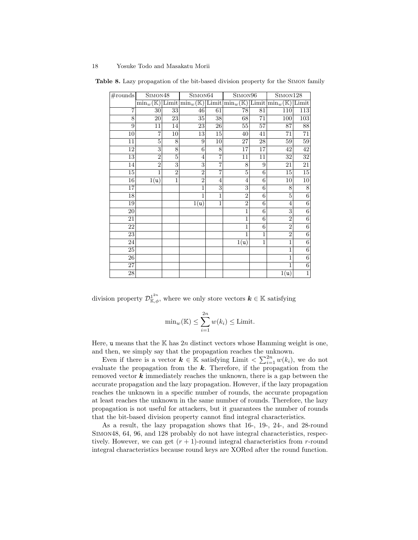<span id="page-17-0"></span>

| $\#\text{rounds}$ | SIMON <sub>48</sub> |                | SIMON <sub>64</sub> |                | SIMON <sub>96</sub>                                                                                                                                |             | SIMON <sub>128</sub> |                 |  |
|-------------------|---------------------|----------------|---------------------|----------------|----------------------------------------------------------------------------------------------------------------------------------------------------|-------------|----------------------|-----------------|--|
|                   |                     |                |                     |                | $\min_w(\mathbb{K})$ Limit $\left \min_w(\mathbb{K})\right $ Limit $\left \min_w(\mathbb{K})\right $ Limit $\left \min_w(\mathbb{K})\right $ Limit |             |                      |                 |  |
| $\overline{7}$    | 30 <sup>1</sup>     | 33             | 46                  | 61             | 78                                                                                                                                                 | 81          | 110                  | 113             |  |
| 8                 | 20                  | 23             | $35\,$              | 38             | 68                                                                                                                                                 | 71          | 100                  | 103             |  |
| 9                 | 11                  | 14             | 23                  | 26             | $55\,$                                                                                                                                             | 57          | 87                   | $\overline{88}$ |  |
| 10                | $\overline{7}$      | 10             | 13                  | 15             | 40                                                                                                                                                 | 41          | 71                   | $\overline{71}$ |  |
| 11                | 5                   | 8              | 9                   | 10             | 27                                                                                                                                                 | 28          | 59                   | 59              |  |
| 12                | 3                   | 8              | 6                   | 8              | 17                                                                                                                                                 | 17          | 42                   | $\overline{42}$ |  |
| 13                | $\overline{2}$      | 5              | $\overline{4}$      | $\overline{7}$ | 11                                                                                                                                                 | 11          | 32                   | $\overline{32}$ |  |
| 14                | $\overline{2}$      | 3              | 3                   | $\overline{7}$ | 8                                                                                                                                                  | 9           | 21                   | $\overline{21}$ |  |
| 15                | 1                   | $\overline{2}$ | $\overline{2}$      | 7              | 5                                                                                                                                                  | 6           | 15                   | $15\,$          |  |
| 16                | 1(u)                | $\mathbf{1}$   | $\overline{2}$      | 4              | 4                                                                                                                                                  | 6           | 10                   | $\overline{10}$ |  |
| 17                |                     |                | $\mathbf{1}$        | 3              | 3                                                                                                                                                  | 6           | 8                    | 8               |  |
| 18                |                     |                | 1                   | 1              | $\overline{2}$                                                                                                                                     | 6           | 5                    | 6               |  |
| 19                |                     |                | 1(u)                | $\mathbf{1}$   | $\overline{2}$                                                                                                                                     | 6           | 4                    | 6               |  |
| 20                |                     |                |                     |                | 1                                                                                                                                                  | 6           | 3                    | 6               |  |
| 21                |                     |                |                     |                | 1                                                                                                                                                  | 6           | $\overline{2}$       | $\overline{6}$  |  |
| 22                |                     |                |                     |                | 1                                                                                                                                                  | 6           | $\overline{2}$       | 6               |  |
| 23                |                     |                |                     |                | 1                                                                                                                                                  | 1           | $\overline{2}$       | $\overline{6}$  |  |
| 24                |                     |                |                     |                | 1(u)                                                                                                                                               | $\mathbf 1$ | 1                    | $\,6$           |  |
| 25                |                     |                |                     |                |                                                                                                                                                    |             | 1                    | 6               |  |
| 26                |                     |                |                     |                |                                                                                                                                                    |             | 1                    | 6               |  |
| 27                |                     |                |                     |                |                                                                                                                                                    |             | 1                    | $\,6$           |  |
| 28                |                     |                |                     |                |                                                                                                                                                    |             | 1(u)                 | $\mathbf 1$     |  |

Table 8. Lazy propagation of the bit-based division property for the Simon family

division property  $\mathcal{D}_{\mathbb{K},\phi}^{1^{2n}}$ , where we only store vectors  $\mathbf{k} \in \mathbb{K}$  satisfying

$$
\min_{w}(\mathbb{K}) \le \sum_{i=1}^{2n} w(k_i) \le \text{Limit.}
$$

Here, u means that the K has  $2n$  distinct vectors whose Hamming weight is one, and then, we simply say that the propagation reaches the unknown.

Even if there is a vector  $k \in \mathbb{K}$  satisfying Limit  $\langle \sum_{i=1}^{2n} w(k_i), \rangle$  we do not evaluate the propagation from the  $k$ . Therefore, if the propagation from the removed vector  $k$  immediately reaches the unknown, there is a gap between the accurate propagation and the lazy propagation. However, if the lazy propagation reaches the unknown in a specific number of rounds, the accurate propagation at least reaches the unknown in the same number of rounds. Therefore, the lazy propagation is not useful for attackers, but it guarantees the number of rounds that the bit-based division property cannot find integral characteristics.

As a result, the lazy propagation shows that 16-, 19-, 24-, and 28-round Simon48, 64, 96, and 128 probably do not have integral characteristics, respectively. However, we can get  $(r + 1)$ -round integral characteristics from r-round integral characteristics because round keys are XORed after the round function.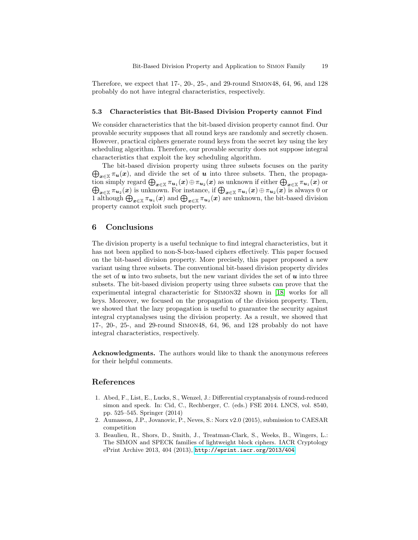Therefore, we expect that 17-, 20-, 25-, and 29-round Simon48, 64, 96, and 128 probably do not have integral characteristics, respectively.

#### 5.3 Characteristics that Bit-Based Division Property cannot Find

We consider characteristics that the bit-based division property cannot find. Our provable security supposes that all round keys are randomly and secretly chosen. However, practical ciphers generate round keys from the secret key using the key scheduling algorithm. Therefore, our provable security does not suppose integral characteristics that exploit the key scheduling algorithm.

 $\bigoplus_{\bm{x}\in\mathbb{X}}\pi_{\bm{u}}(\bm{x})$ , and divide the set of  $\bm{u}$  into three subsets. Then, the propaga-The bit-based division property using three subsets focuses on the parity tion simply regard  $\bigoplus_{\bm x\in\mathbb X}\pi_{\bm u_1}(\bm x)\oplus\pi_{\bm u_2}(\bm x)$  as unknown if either  $\bigoplus_{\bm x\in\mathbb X}\pi_{\bm u_1}(\bm x)$  or  $\bigoplus_{\bm x\in\mathbb X}\pi_{\bm u_2}(\bm x)$  is unknown. For instance, if  $\bigoplus_{\bm x\in\mathbb X}\pi_{\bm u_1}(\bm x)\oplus\pi_{\bm u_2}(\bm x)$  is always  $0$  or 1 although  $\bigoplus_{x\in\mathbb{X}}\pi_{u_1}(x)$  and  $\bigoplus_{x\in\mathbb{X}}\pi_{u_2}(x)$  are unknown, the bit-based division property cannot exploit such property.

# 6 Conclusions

The division property is a useful technique to find integral characteristics, but it has not been applied to non-S-box-based ciphers effectively. This paper focused on the bit-based division property. More precisely, this paper proposed a new variant using three subsets. The conventional bit-based division property divides the set of  $u$  into two subsets, but the new variant divides the set of  $u$  into three subsets. The bit-based division property using three subsets can prove that the experimental integral characteristic for Simon32 shown in [\[18\]](#page-19-0) works for all keys. Moreover, we focused on the propagation of the division property. Then, we showed that the lazy propagation is useful to guarantee the security against integral cryptanalyses using the division property. As a result, we showed that 17-, 20-, 25-, and 29-round Simon48, 64, 96, and 128 probably do not have integral characteristics, respectively.

Acknowledgments. The authors would like to thank the anonymous referees for their helpful comments.

# References

- <span id="page-18-2"></span>1. Abed, F., List, E., Lucks, S., Wenzel, J.: Differential cryptanalysis of round-reduced simon and speck. In: Cid, C., Rechberger, C. (eds.) FSE 2014. LNCS, vol. 8540, pp. 525–545. Springer (2014)
- <span id="page-18-0"></span>2. Aumasson, J.P., Jovanovic, P., Neves, S.: Norx v2.0 (2015), submission to CAESAR competition
- <span id="page-18-1"></span>3. Beaulieu, R., Shors, D., Smith, J., Treatman-Clark, S., Weeks, B., Wingers, L.: The SIMON and SPECK families of lightweight block ciphers. IACR Cryptology ePrint Archive 2013, 404 (2013), <http://eprint.iacr.org/2013/404>